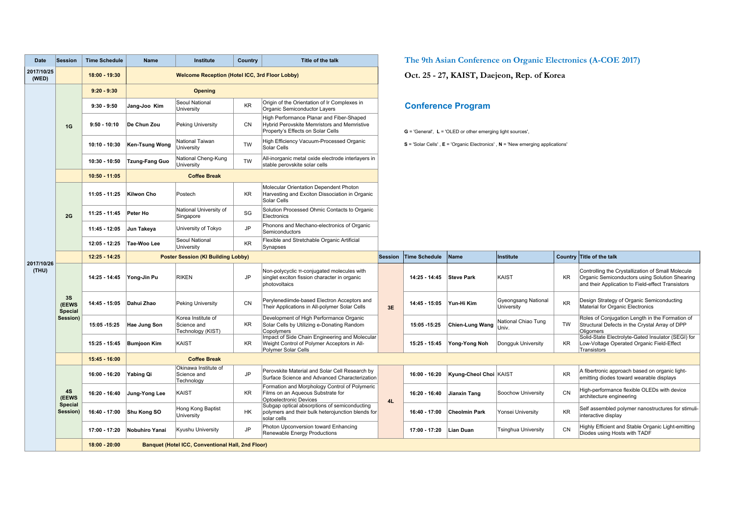| Date                | <b>Session</b>                            | <b>Time Schedule</b>                                                 | Name                                      | Institute                                              | Country   | Title of the talk                                                                                                            | The 9th Asian Conference on Organic Electronics (A-COE 2017) |                                                                                                                                                                                  |                        |                                          |                           |                                                                                                                                                          |  |  |
|---------------------|-------------------------------------------|----------------------------------------------------------------------|-------------------------------------------|--------------------------------------------------------|-----------|------------------------------------------------------------------------------------------------------------------------------|--------------------------------------------------------------|----------------------------------------------------------------------------------------------------------------------------------------------------------------------------------|------------------------|------------------------------------------|---------------------------|----------------------------------------------------------------------------------------------------------------------------------------------------------|--|--|
| 2017/10/25<br>(WED) |                                           | 18:00 - 19:30                                                        |                                           | <b>Welcome Reception (Hotel ICC, 3rd Floor Lobby)</b>  |           |                                                                                                                              |                                                              | Oct. 25 - 27, KAIST, Daejeon, Rep. of Korea                                                                                                                                      |                        |                                          |                           |                                                                                                                                                          |  |  |
| 2017/10/26<br>(THU) | 1G                                        | $9:20 - 9:30$                                                        | <b>Opening</b>                            |                                                        |           |                                                                                                                              |                                                              |                                                                                                                                                                                  |                        |                                          |                           |                                                                                                                                                          |  |  |
|                     |                                           | $9:30 - 9:50$                                                        | Jang-Joo Kim                              | Seoul National<br>University                           | KR        | Origin of the Orientation of Ir Complexes in<br>Organic Semiconductor Layers                                                 |                                                              | <b>Conference Program</b><br>$G = 'General', L = 'OLED$ or other emerging light sources',<br>$S =$ 'Solar Cells', $E =$ 'Organic Electronics', $N =$ 'New emerging applications' |                        |                                          |                           |                                                                                                                                                          |  |  |
|                     |                                           | $9:50 - 10:10$                                                       | De Chun Zou                               | Peking University                                      | CN        | High Performance Planar and Fiber-Shaped<br>Hybrid Perovskite Memristors and Memristive<br>Property's Effects on Solar Cells |                                                              |                                                                                                                                                                                  |                        |                                          |                           |                                                                                                                                                          |  |  |
|                     |                                           | $10:10 - 10:30$                                                      | Ken-Tsung Wong                            | National Taiwan<br>University                          | <b>TW</b> | High Efficiency Vacuum-Processed Organic<br>Solar Cells                                                                      |                                                              |                                                                                                                                                                                  |                        |                                          |                           |                                                                                                                                                          |  |  |
|                     |                                           | $10:30 - 10:50$                                                      | <b>Tzung-Fang Guo</b>                     | National Cheng-Kung<br>University                      | <b>TW</b> | All-inorganic metal oxide electrode interlayers in<br>stable perovskite solar cells                                          |                                                              |                                                                                                                                                                                  |                        |                                          |                           |                                                                                                                                                          |  |  |
|                     |                                           | $10:50 - 11:05$                                                      | <b>Coffee Break</b>                       |                                                        |           |                                                                                                                              |                                                              |                                                                                                                                                                                  |                        |                                          |                           |                                                                                                                                                          |  |  |
|                     | 2G                                        | 11:05 - 11:25                                                        | Kilwon Cho                                | Postech                                                | <b>KR</b> | Molecular Orientation Dependent Photon<br>Harvesting and Exciton Dissociation in Organic<br>Solar Cells                      |                                                              |                                                                                                                                                                                  |                        |                                          |                           |                                                                                                                                                          |  |  |
|                     |                                           | 11:25 - 11:45                                                        | Peter Ho                                  | National University of<br>Singapore                    | SG        | Solution Processed Ohmic Contacts to Organic<br>Electronics                                                                  |                                                              |                                                                                                                                                                                  |                        |                                          |                           |                                                                                                                                                          |  |  |
|                     |                                           | 11:45 - 12:05                                                        | Jun Takeya                                | University of Tokyo                                    | <b>JP</b> | Phonons and Mechano-electronics of Organic<br>Semiconductors                                                                 |                                                              |                                                                                                                                                                                  |                        |                                          |                           |                                                                                                                                                          |  |  |
|                     |                                           | 12:05 - 12:25                                                        | Tae-Woo Lee                               | Seoul National<br>University                           | <b>KR</b> | Flexible and Stretchable Organic Artificial<br>Synapses                                                                      |                                                              |                                                                                                                                                                                  |                        |                                          |                           |                                                                                                                                                          |  |  |
|                     |                                           | 12:25 - 14:25                                                        | <b>Poster Session (KI Building Lobby)</b> |                                                        |           | <b>Session</b>                                                                                                               | <b>Time Schedule</b>                                         | Name                                                                                                                                                                             | Institute              |                                          | Country Title of the talk |                                                                                                                                                          |  |  |
|                     | 3S<br>(EEWS<br><b>Special</b><br>Session) | 14:25 - 14:45                                                        | Yong-Jin Pu                               | <b>RIKEN</b>                                           | <b>JP</b> | Non-polycyclic π-conjugated molecules with<br>singlet exciton fission character in organic<br>photovoltaics                  |                                                              | 14:25 - 14:45                                                                                                                                                                    | Steve Park             | KAIST                                    | KR                        | Controlling the Crystallization of Small Molecule<br>Organic Semiconductors using Solution Shearing<br>and their Application to Field-effect Transistors |  |  |
|                     |                                           | 14:45 - 15:05                                                        | Dahui Zhao                                | <b>Peking University</b>                               | CN        | Perylenediimde-based Electron Acceptors and<br>Their Applications in All-polymer Solar Cells                                 | 3E                                                           | 14:45 - 15:05                                                                                                                                                                    | Yun-Hi Kim             | <b>Gyeongsang National</b><br>University | KR                        | Design Strategy of Organic Semiconducting<br>Material for Organic Electronics                                                                            |  |  |
|                     |                                           | 15:05 15:25                                                          | Hae Jung Son                              | Korea Institute of<br>Science and<br>Technology (KIST) | KR        | Development of High Performance Organic<br>Solar Cells by Utilizing e-Donating Random<br>Copolymers                          |                                                              | 15:05 - 15:25                                                                                                                                                                    | Chien-Lung Wang        | National Chiao Tung<br>Univ.             | TW                        | Roles of Conjugation Length in the Formation of<br>Structural Defects in the Crystal Array of DPP<br>Oligomers                                           |  |  |
|                     |                                           | 15:25 - 15:45                                                        | <b>Bumjoon Kim</b>                        | KAIST                                                  | <b>KR</b> | Impact of Side Chain Engineering and Molecular<br>Weight Control of Polymer Acceptors in All-<br>Polymer Solar Cells         |                                                              | 15:25 - 15:45                                                                                                                                                                    | Yong-Yong Noh          | Dongguk University                       | <b>KR</b>                 | Solid-State Electrolyte-Gated Insulator (SEGI) for<br>Low-Voltage Operated Organic Field-Effect<br>Transistors                                           |  |  |
|                     |                                           | 15:45 - 16:00                                                        | <b>Coffee Break</b>                       |                                                        |           |                                                                                                                              |                                                              |                                                                                                                                                                                  |                        |                                          |                           |                                                                                                                                                          |  |  |
|                     | <b>4S</b><br>(EEWS<br>Special<br>Session) | 16:00 - 16:20                                                        | Yabing Qi                                 | Okinawa Institute of<br>Science and<br>Technology      | <b>JP</b> | Perovskite Material and Solar Cell Research by<br>Surface Science and Advanced Characterization                              |                                                              | 16:00 - 16:20                                                                                                                                                                    | Kyung-Cheol Choi KAIST |                                          | KR                        | A fibertronic approach based on organic light-<br>emitting diodes toward wearable displays                                                               |  |  |
|                     |                                           | 16:20 - 16:40                                                        | Jung-Yong Lee                             | KAIST                                                  | KR        | Formation and Morphology Control of Polymeric<br>Films on an Aqueous Substrate for<br>Optoelectronic Devices                 | 4L                                                           | 16:20 - 16:40                                                                                                                                                                    | Jianxin Tang           | Soochow University                       | CN                        | High-performance flexible OLEDs with device<br>architecture engineering                                                                                  |  |  |
|                     |                                           | 16:40 - 17:00                                                        | Shu Kong SO                               | Hong Kong Baptist<br>University                        | HK        | Subgap optical absorptions of semiconducting<br>polymers and their bulk heterojunction blends for<br>solar cells             |                                                              | 16:40 - 17:00                                                                                                                                                                    | <b>Cheolmin Park</b>   | Yonsei University                        | KR                        | Self assembled polymer nanostructures for stimuli-<br>interactive display                                                                                |  |  |
|                     |                                           | 17:00 - 17:20                                                        | Nobuhiro Yanai                            | Kyushu University                                      | <b>JP</b> | Photon Upconversion toward Enhancing<br><b>Renewable Energy Productions</b>                                                  |                                                              | 17:00 - 17:20                                                                                                                                                                    | Lian Duan              | <b>Tsinghua University</b>               | CN                        | Highly Efficient and Stable Organic Light-emitting<br>Diodes using Hosts with TADF                                                                       |  |  |
|                     |                                           | $18:00 - 20:00$<br>Banquet (Hotel ICC, Conventional Hall, 2nd Floor) |                                           |                                                        |           |                                                                                                                              |                                                              |                                                                                                                                                                                  |                        |                                          |                           |                                                                                                                                                          |  |  |